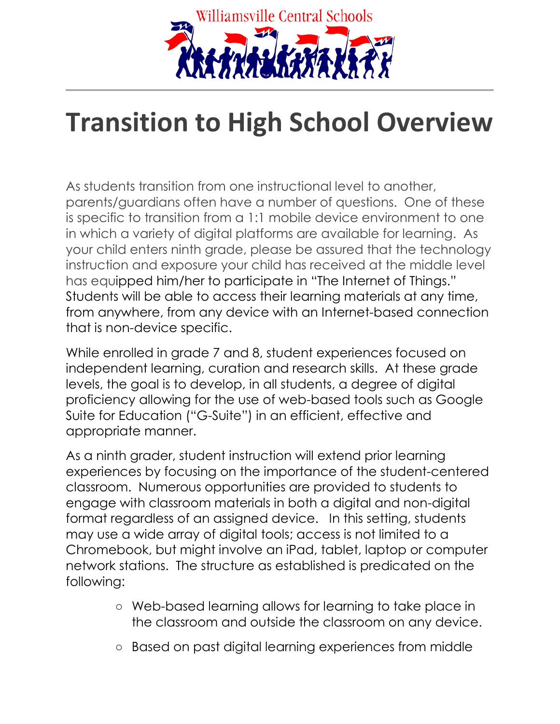

## **Transition to High School Overview**

As students transition from one instructional level to another, parents/guardians often have a number of questions. One of these is specific to transition from a 1:1 mobile device environment to one in which a variety of digital platforms are available for learning. As your child enters ninth grade, please be assured that the technology instruction and exposure your child has received at the middle level has equipped him/her to participate in "The Internet of Things." Students will be able to access their learning materials at any time, from anywhere, from any device with an Internet-based connection that is non-device specific.

While enrolled in grade 7 and 8, student experiences focused on independent learning, curation and research skills. At these grade levels, the goal is to develop, in all students, a degree of digital proficiency allowing for the use of web-based tools such as Google Suite for Education ("G-Suite") in an efficient, effective and appropriate manner.

As a ninth grader, student instruction will extend prior learning experiences by focusing on the importance of the student-centered classroom. Numerous opportunities are provided to students to engage with classroom materials in both a digital and non-digital format regardless of an assigned device. In this setting, students may use a wide array of digital tools; access is not limited to a Chromebook, but might involve an iPad, tablet, laptop or computer network stations. The structure as established is predicated on the following:

- Web-based learning allows for learning to take place in the classroom and outside the classroom on any device.
- Based on past digital learning experiences from middle